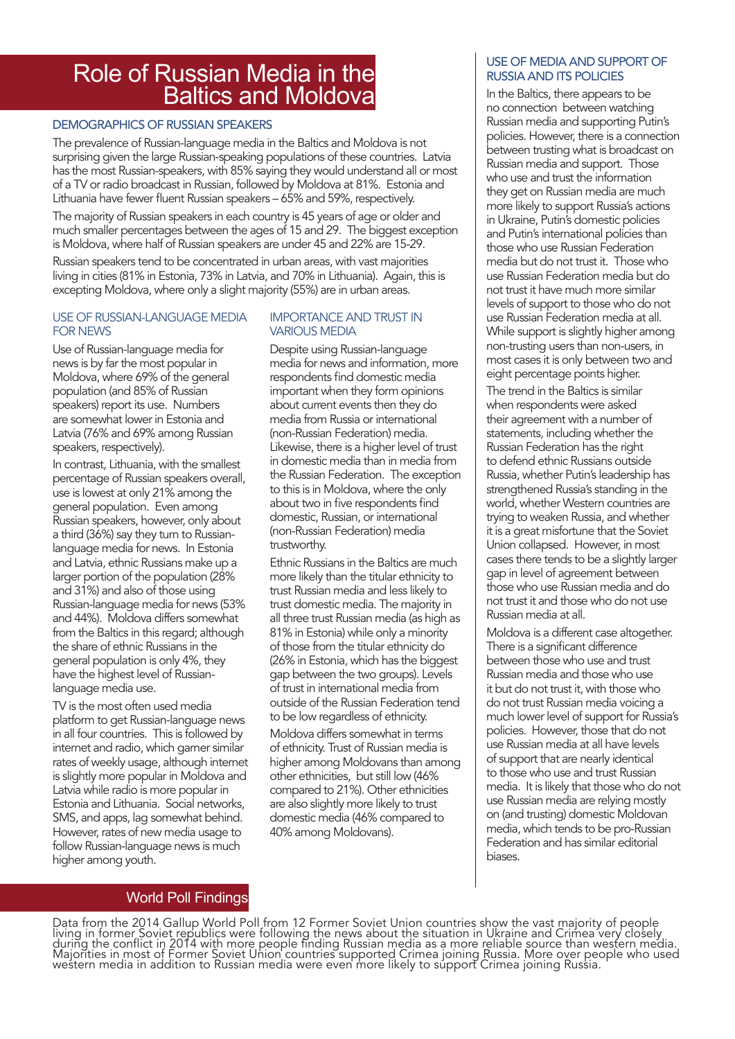## Role of Russian Media in the Baltics and Moldova

### DEMOGRAPHICS OF RUSSIAN SPEAKERS

The prevalence of Russian-language media in the Baltics and Moldova is not surprising given the large Russian-speaking populations of these countries. Latvia has the most Russian-speakers, with 85% saying they would understand all or most of a TV or radio broadcast in Russian, followed by Moldova at 81%. Estonia and Lithuania have fewer fluent Russian speakers – 65% and 59%, respectively.

The majority of Russian speakers in each country is 45 years of age or older and much smaller percentages between the ages of 15 and 29. The biggest exception is Moldova, where half of Russian speakers are under 45 and 22% are 15-29.

Russian speakers tend to be concentrated in urban areas, with vast majorities living in cities (81% in Estonia, 73% in Latvia, and 70% in Lithuania). Again, this is excepting Moldova, where only a slight majority (55%) are in urban areas.

#### USE OF RUSSIAN-LANGUAGE MEDIA FOR NEWS

Use of Russian-language media for news is by far the most popular in Moldova, where 69% of the general population (and 85% of Russian speakers) report its use. Numbers are somewhat lower in Estonia and Latvia (76% and 69% among Russian speakers, respectively).

In contrast, Lithuania, with the smallest percentage of Russian speakers overall, use is lowest at only 21% among the general population. Even among Russian speakers, however, only about a third (36%) say they turn to Russianlanguage media for news. In Estonia and Latvia, ethnic Russians make up a larger portion of the population (28% and 31%) and also of those using Russian-language media for news (53% and 44%). Moldova differs somewhat from the Baltics in this regard; although the share of ethnic Russians in the general population is only 4%, they have the highest level of Russianlanguage media use.

TV is the most often used media platform to get Russian-language news in all four countries. This is followed by internet and radio, which garner similar rates of weekly usage, although internet is slightly more popular in Moldova and Latvia while radio is more popular in Estonia and Lithuania. Social networks, SMS, and apps, lag somewhat behind. However, rates of new media usage to follow Russian-language news is much higher among youth.

#### IMPORTANCE AND TRUST IN VARIOUS MEDIA

Despite using Russian-language media for news and information, more respondents find domestic media important when they form opinions about current events then they do media from Russia or international (non-Russian Federation) media. Likewise, there is a higher level of trust in domestic media than in media from the Russian Federation. The exception to this is in Moldova, where the only about two in five respondents find domestic, Russian, or international (non-Russian Federation) media trustworthy.

Ethnic Russians in the Baltics are much more likely than the titular ethnicity to trust Russian media and less likely to trust domestic media. The majority in all three trust Russian media (as high as 81% in Estonia) while only a minority of those from the titular ethnicity do (26% in Estonia, which has the biggest gap between the two groups). Levels of trust in international media from outside of the Russian Federation tend to be low regardless of ethnicity.

Moldova differs somewhat in terms of ethnicity. Trust of Russian media is higher among Moldovans than among other ethnicities, but still low (46% compared to 21%). Other ethnicities are also slightly more likely to trust domestic media (46% compared to 40% among Moldovans).

### USE OF MEDIA AND SUPPORT OF RUSSIA AND ITS POLICIES

In the Baltics, there appears to be no connection between watching Russian media and supporting Putin's policies. However, there is a connection between trusting what is broadcast on Russian media and support. Those who use and trust the information they get on Russian media are much more likely to support Russia's actions in Ukraine, Putin's domestic policies and Putin's international policies than those who use Russian Federation media but do not trust it. Those who use Russian Federation media but do not trust it have much more similar levels of support to those who do not use Russian Federation media at all. While support is slightly higher among non-trusting users than non-users, in most cases it is only between two and eight percentage points higher. The trend in the Baltics is similar when respondents were asked their agreement with a number of statements, including whether the Russian Federation has the right to defend ethnic Russians outside Russia, whether Putin's leadership has strengthened Russia's standing in the world, whether Western countries are trying to weaken Russia, and whether it is a great misfortune that the Soviet Union collapsed. However, in most

cases there tends to be a slightly larger gap in level of agreement between those who use Russian media and do not trust it and those who do not use Russian media at all.

Moldova is a different case altogether. There is a significant difference between those who use and trust Russian media and those who use it but do not trust it, with those who do not trust Russian media voicing a much lower level of support for Russia's policies. However, those that do not use Russian media at all have levels of support that are nearly identical to those who use and trust Russian media. It is likely that those who do not use Russian media are relying mostly on (and trusting) domestic Moldovan media, which tends to be pro-Russian Federation and has similar editorial biases.

## World Poll Findings

Data from the 2014 Gallup World Poll from 12 Former Soviet Union countries show the vast majority of people living in former Soviet republics were following the news about the situation in Ukraine and Crimea very closely during the conflict in 2014 with more people finding Russian media as a more reliable source than western media. Majorities in most of Former Soviet Union countries supported Crimea joining Russia. More over people who used western media in addition to Russian media were even more likely to súpporť Crimea joining Russia.